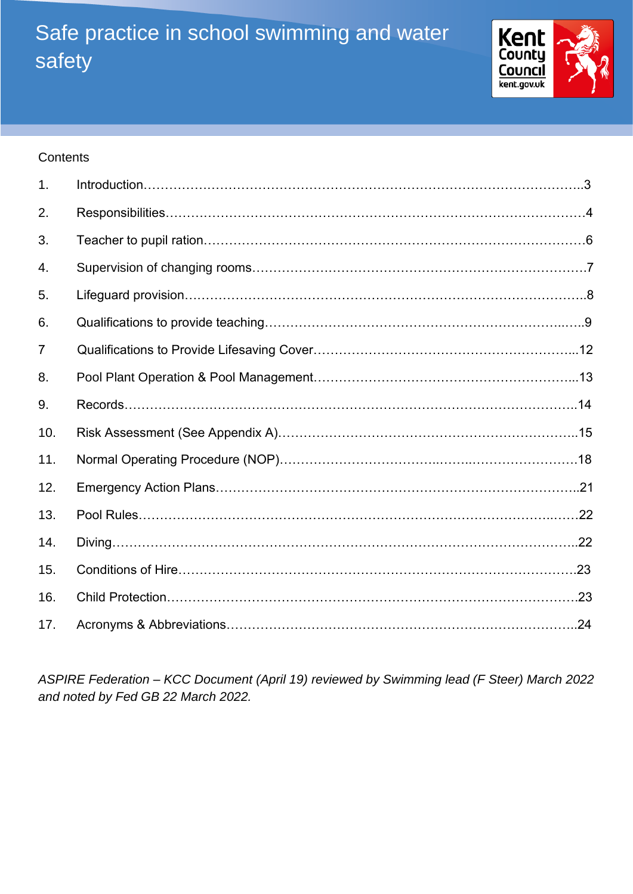# Safe practice in school swimming and water safety



#### **Contents**

| 1.  |  |
|-----|--|
| 2.  |  |
| 3.  |  |
| 4.  |  |
| 5.  |  |
| 6.  |  |
| 7   |  |
| 8.  |  |
| 9.  |  |
| 10. |  |
| 11. |  |
| 12. |  |
| 13. |  |
| 14. |  |
| 15. |  |
| 16. |  |
| 17. |  |

*ASPIRE Federation – KCC Document (April 19) reviewed by Swimming lead (F Steer) March 2022 and noted by Fed GB 22 March 2022.*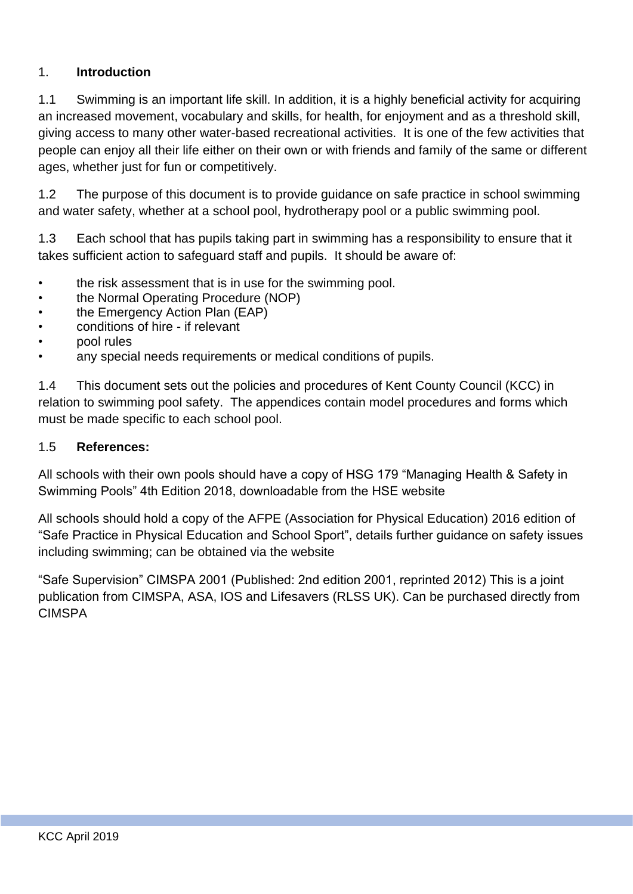#### 1. **Introduction**

1.1 Swimming is an important life skill. In addition, it is a highly beneficial activity for acquiring an increased movement, vocabulary and skills, for health, for enjoyment and as a threshold skill, giving access to many other water-based recreational activities. It is one of the few activities that people can enjoy all their life either on their own or with friends and family of the same or different ages, whether just for fun or competitively.

1.2 The purpose of this document is to provide guidance on safe practice in school swimming and water safety, whether at a school pool, hydrotherapy pool or a public swimming pool.

1.3 Each school that has pupils taking part in swimming has a responsibility to ensure that it takes sufficient action to safeguard staff and pupils. It should be aware of:

- the risk assessment that is in use for the swimming pool.
- the Normal Operating Procedure (NOP)
- the Emergency Action Plan (EAP)
- conditions of hire if relevant
- pool rules
- any special needs requirements or medical conditions of pupils.

1.4 This document sets out the policies and procedures of Kent County Council (KCC) in relation to swimming pool safety. The appendices contain model procedures and forms which must be made specific to each school pool.

#### 1.5 **References:**

All schools with their own pools should have a copy of HSG 179 "Managing Health & Safety in Swimming Pools" 4th Edition 2018, downloadable from the HSE website

All schools should hold a copy of the AFPE (Association for Physical Education) 2016 edition of "Safe Practice in Physical Education and School Sport", details further guidance on safety issues including swimming; can be obtained via the website

"Safe Supervision" CIMSPA 2001 (Published: 2nd edition 2001, reprinted 2012) This is a joint publication from CIMSPA, ASA, IOS and Lifesavers (RLSS UK). Can be purchased directly from **CIMSPA**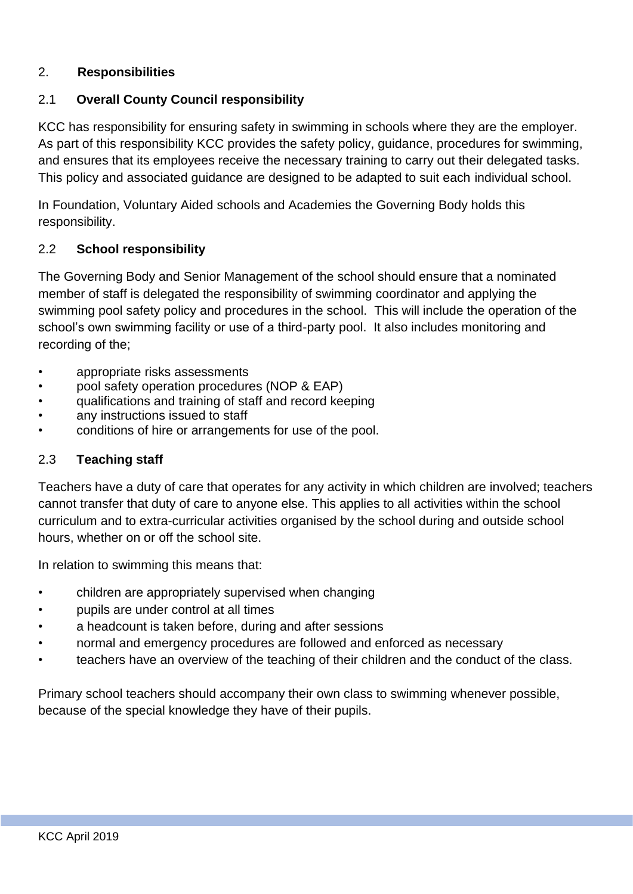#### 2. **Responsibilities**

#### 2.1 **Overall County Council responsibility**

KCC has responsibility for ensuring safety in swimming in schools where they are the employer. As part of this responsibility KCC provides the safety policy, guidance, procedures for swimming, and ensures that its employees receive the necessary training to carry out their delegated tasks. This policy and associated guidance are designed to be adapted to suit each individual school.

In Foundation, Voluntary Aided schools and Academies the Governing Body holds this responsibility.

#### 2.2 **School responsibility**

The Governing Body and Senior Management of the school should ensure that a nominated member of staff is delegated the responsibility of swimming coordinator and applying the swimming pool safety policy and procedures in the school. This will include the operation of the school's own swimming facility or use of a third-party pool. It also includes monitoring and recording of the;

- appropriate risks assessments
- pool safety operation procedures (NOP & EAP)
- qualifications and training of staff and record keeping
- any instructions issued to staff
- conditions of hire or arrangements for use of the pool.

#### 2.3 **Teaching staff**

Teachers have a duty of care that operates for any activity in which children are involved; teachers cannot transfer that duty of care to anyone else. This applies to all activities within the school curriculum and to extra-curricular activities organised by the school during and outside school hours, whether on or off the school site.

In relation to swimming this means that:

- children are appropriately supervised when changing
- pupils are under control at all times
- a headcount is taken before, during and after sessions
- normal and emergency procedures are followed and enforced as necessary
- teachers have an overview of the teaching of their children and the conduct of the class.

Primary school teachers should accompany their own class to swimming whenever possible, because of the special knowledge they have of their pupils.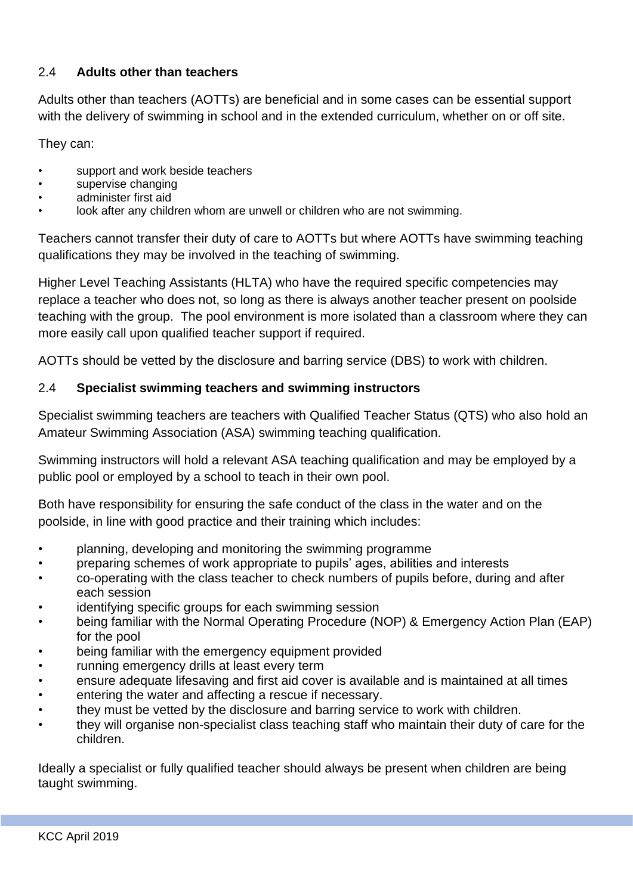## 2.4 **Adults other than teachers**

Adults other than teachers (AOTTs) are beneficial and in some cases can be essential support with the delivery of swimming in school and in the extended curriculum, whether on or off site.

They can:

- support and work beside teachers
- supervise changing
- administer first aid
- look after any children whom are unwell or children who are not swimming.

Teachers cannot transfer their duty of care to AOTTs but where AOTTs have swimming teaching qualifications they may be involved in the teaching of swimming.

Higher Level Teaching Assistants (HLTA) who have the required specific competencies may replace a teacher who does not, so long as there is always another teacher present on poolside teaching with the group. The pool environment is more isolated than a classroom where they can more easily call upon qualified teacher support if required.

AOTTs should be vetted by the disclosure and barring service (DBS) to work with children.

#### 2.4 **Specialist swimming teachers and swimming instructors**

Specialist swimming teachers are teachers with Qualified Teacher Status (QTS) who also hold an Amateur Swimming Association (ASA) swimming teaching qualification.

Swimming instructors will hold a relevant ASA teaching qualification and may be employed by a public pool or employed by a school to teach in their own pool.

Both have responsibility for ensuring the safe conduct of the class in the water and on the poolside, in line with good practice and their training which includes:

- planning, developing and monitoring the swimming programme
- preparing schemes of work appropriate to pupils' ages, abilities and interests
- co-operating with the class teacher to check numbers of pupils before, during and after each session
- identifying specific groups for each swimming session
- being familiar with the Normal Operating Procedure (NOP) & Emergency Action Plan (EAP) for the pool
- being familiar with the emergency equipment provided
- running emergency drills at least every term
- ensure adequate lifesaving and first aid cover is available and is maintained at all times
- entering the water and affecting a rescue if necessary.
- they must be vetted by the disclosure and barring service to work with children.
- they will organise non-specialist class teaching staff who maintain their duty of care for the children.

Ideally a specialist or fully qualified teacher should always be present when children are being taught swimming.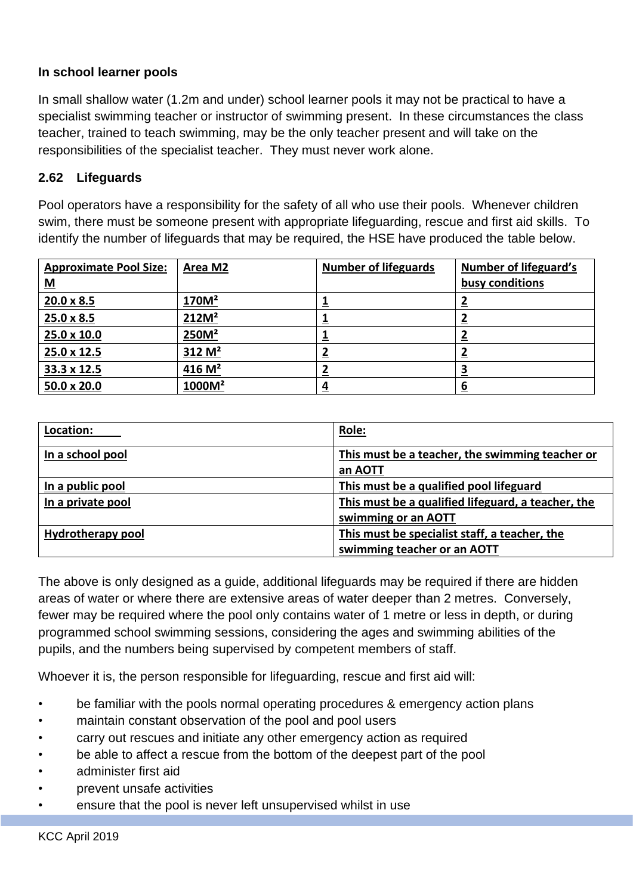## **In school learner pools**

In small shallow water (1.2m and under) school learner pools it may not be practical to have a specialist swimming teacher or instructor of swimming present. In these circumstances the class teacher, trained to teach swimming, may be the only teacher present and will take on the responsibilities of the specialist teacher. They must never work alone.

#### **2.62 Lifeguards**

Pool operators have a responsibility for the safety of all who use their pools. Whenever children swim, there must be someone present with appropriate lifeguarding, rescue and first aid skills. To identify the number of lifeguards that may be required, the HSE have produced the table below.

| <b>Approximate Pool Size:</b> | Area M2            | <b>Number of lifeguards</b> | <b>Number of lifeguard's</b> |
|-------------------------------|--------------------|-----------------------------|------------------------------|
| $\underline{\mathbf{M}}$      |                    |                             | busy conditions              |
| $20.0 \times 8.5$             | 170M <sup>2</sup>  | --                          |                              |
| $25.0 \times 8.5$             | 212M <sup>2</sup>  |                             |                              |
| 25.0 x 10.0                   | 250M <sup>2</sup>  |                             |                              |
| 25.0 x 12.5                   | 312 M <sup>2</sup> | ⊆                           |                              |
| 33.3 x 12.5                   | 416 $M2$           |                             |                              |
| 50.0 x 20.0                   | 1000M <sup>2</sup> | <u>4</u>                    |                              |

| Location:         | Role:                                                                        |
|-------------------|------------------------------------------------------------------------------|
| In a school pool  | This must be a teacher, the swimming teacher or<br>an AOTT                   |
| In a public pool  | This must be a qualified pool lifeguard                                      |
| In a private pool | This must be a qualified lifeguard, a teacher, the<br>swimming or an AOTT    |
| Hydrotherapy pool | This must be specialist staff, a teacher, the<br>swimming teacher or an AOTT |

The above is only designed as a guide, additional lifeguards may be required if there are hidden areas of water or where there are extensive areas of water deeper than 2 metres. Conversely, fewer may be required where the pool only contains water of 1 metre or less in depth, or during programmed school swimming sessions, considering the ages and swimming abilities of the pupils, and the numbers being supervised by competent members of staff.

Whoever it is, the person responsible for lifeguarding, rescue and first aid will:

- be familiar with the pools normal operating procedures & emergency action plans
- maintain constant observation of the pool and pool users
- carry out rescues and initiate any other emergency action as required
- be able to affect a rescue from the bottom of the deepest part of the pool
- administer first aid
- prevent unsafe activities
- ensure that the pool is never left unsupervised whilst in use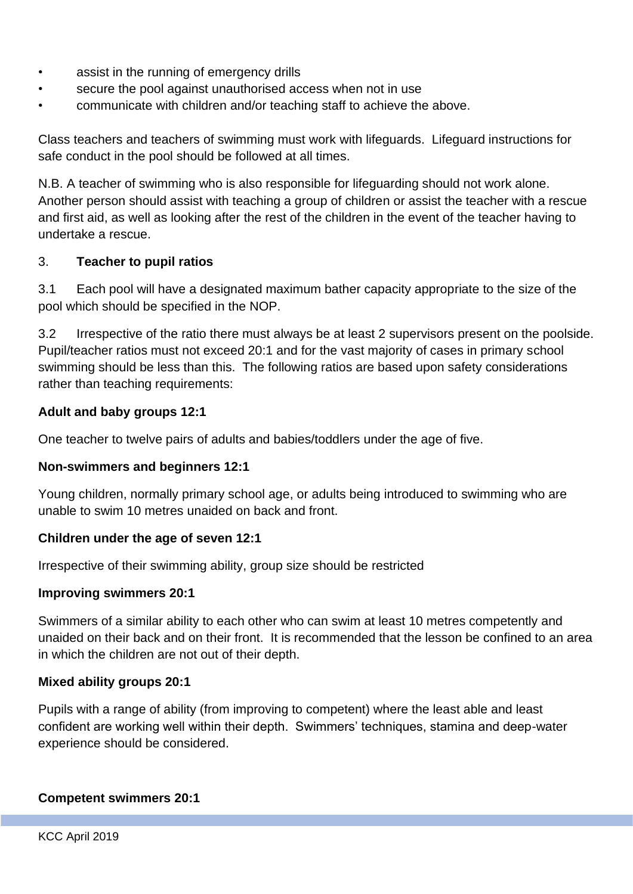- assist in the running of emergency drills
- secure the pool against unauthorised access when not in use
- communicate with children and/or teaching staff to achieve the above.

Class teachers and teachers of swimming must work with lifeguards. Lifeguard instructions for safe conduct in the pool should be followed at all times.

N.B. A teacher of swimming who is also responsible for lifeguarding should not work alone. Another person should assist with teaching a group of children or assist the teacher with a rescue and first aid, as well as looking after the rest of the children in the event of the teacher having to undertake a rescue.

#### 3. **Teacher to pupil ratios**

3.1 Each pool will have a designated maximum bather capacity appropriate to the size of the pool which should be specified in the NOP.

3.2 Irrespective of the ratio there must always be at least 2 supervisors present on the poolside. Pupil/teacher ratios must not exceed 20:1 and for the vast majority of cases in primary school swimming should be less than this. The following ratios are based upon safety considerations rather than teaching requirements:

#### **Adult and baby groups 12:1**

One teacher to twelve pairs of adults and babies/toddlers under the age of five.

#### **Non-swimmers and beginners 12:1**

Young children, normally primary school age, or adults being introduced to swimming who are unable to swim 10 metres unaided on back and front.

#### **Children under the age of seven 12:1**

Irrespective of their swimming ability, group size should be restricted

#### **Improving swimmers 20:1**

Swimmers of a similar ability to each other who can swim at least 10 metres competently and unaided on their back and on their front. It is recommended that the lesson be confined to an area in which the children are not out of their depth.

#### **Mixed ability groups 20:1**

Pupils with a range of ability (from improving to competent) where the least able and least confident are working well within their depth. Swimmers' techniques, stamina and deep-water experience should be considered.

#### **Competent swimmers 20:1**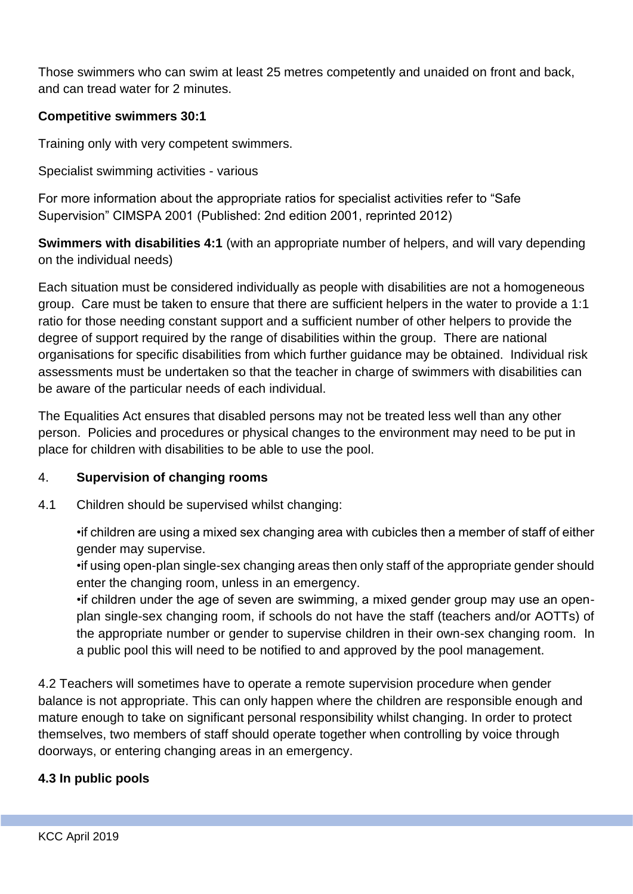Those swimmers who can swim at least 25 metres competently and unaided on front and back, and can tread water for 2 minutes.

#### **Competitive swimmers 30:1**

Training only with very competent swimmers.

Specialist swimming activities - various

For more information about the appropriate ratios for specialist activities refer to "Safe Supervision" CIMSPA 2001 (Published: 2nd edition 2001, reprinted 2012)

**Swimmers with disabilities 4:1** (with an appropriate number of helpers, and will vary depending on the individual needs)

Each situation must be considered individually as people with disabilities are not a homogeneous group. Care must be taken to ensure that there are sufficient helpers in the water to provide a 1:1 ratio for those needing constant support and a sufficient number of other helpers to provide the degree of support required by the range of disabilities within the group. There are national organisations for specific disabilities from which further guidance may be obtained. Individual risk assessments must be undertaken so that the teacher in charge of swimmers with disabilities can be aware of the particular needs of each individual.

The Equalities Act ensures that disabled persons may not be treated less well than any other person. Policies and procedures or physical changes to the environment may need to be put in place for children with disabilities to be able to use the pool.

#### 4. **Supervision of changing rooms**

4.1 Children should be supervised whilst changing:

•if children are using a mixed sex changing area with cubicles then a member of staff of either gender may supervise.

•if using open-plan single-sex changing areas then only staff of the appropriate gender should enter the changing room, unless in an emergency.

•if children under the age of seven are swimming, a mixed gender group may use an openplan single-sex changing room, if schools do not have the staff (teachers and/or AOTTs) of the appropriate number or gender to supervise children in their own-sex changing room. In a public pool this will need to be notified to and approved by the pool management.

4.2 Teachers will sometimes have to operate a remote supervision procedure when gender balance is not appropriate. This can only happen where the children are responsible enough and mature enough to take on significant personal responsibility whilst changing. In order to protect themselves, two members of staff should operate together when controlling by voice through doorways, or entering changing areas in an emergency.

## **4.3 In public pools**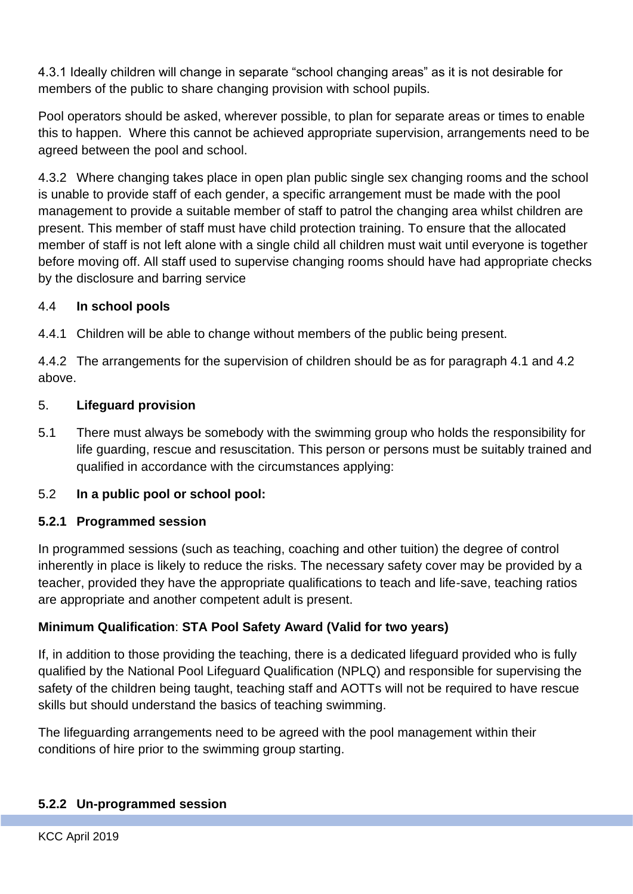4.3.1 Ideally children will change in separate "school changing areas" as it is not desirable for members of the public to share changing provision with school pupils.

Pool operators should be asked, wherever possible, to plan for separate areas or times to enable this to happen. Where this cannot be achieved appropriate supervision, arrangements need to be agreed between the pool and school.

4.3.2 Where changing takes place in open plan public single sex changing rooms and the school is unable to provide staff of each gender, a specific arrangement must be made with the pool management to provide a suitable member of staff to patrol the changing area whilst children are present. This member of staff must have child protection training. To ensure that the allocated member of staff is not left alone with a single child all children must wait until everyone is together before moving off. All staff used to supervise changing rooms should have had appropriate checks by the disclosure and barring service

## 4.4 **In school pools**

4.4.1 Children will be able to change without members of the public being present.

4.4.2 The arrangements for the supervision of children should be as for paragraph 4.1 and 4.2 above.

## 5. **Lifeguard provision**

5.1 There must always be somebody with the swimming group who holds the responsibility for life guarding, rescue and resuscitation. This person or persons must be suitably trained and qualified in accordance with the circumstances applying:

## 5.2 **In a public pool or school pool:**

## **5.2.1 Programmed session**

In programmed sessions (such as teaching, coaching and other tuition) the degree of control inherently in place is likely to reduce the risks. The necessary safety cover may be provided by a teacher, provided they have the appropriate qualifications to teach and life-save, teaching ratios are appropriate and another competent adult is present.

## **Minimum Qualification**: **STA Pool Safety Award (Valid for two years)**

If, in addition to those providing the teaching, there is a dedicated lifeguard provided who is fully qualified by the National Pool Lifeguard Qualification (NPLQ) and responsible for supervising the safety of the children being taught, teaching staff and AOTTs will not be required to have rescue skills but should understand the basics of teaching swimming.

The lifeguarding arrangements need to be agreed with the pool management within their conditions of hire prior to the swimming group starting.

## **5.2.2 Un-programmed session**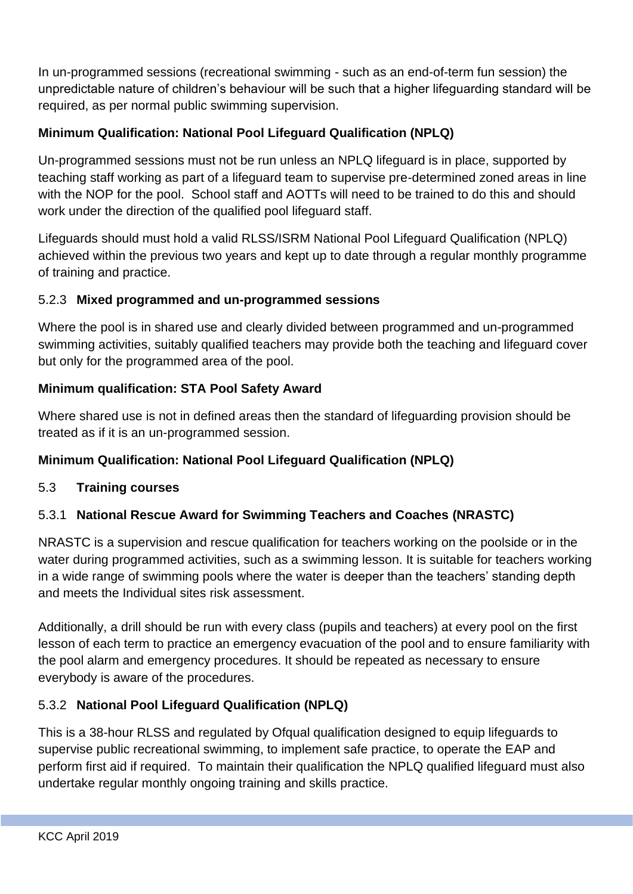In un-programmed sessions (recreational swimming - such as an end-of-term fun session) the unpredictable nature of children's behaviour will be such that a higher lifeguarding standard will be required, as per normal public swimming supervision.

## **Minimum Qualification: National Pool Lifeguard Qualification (NPLQ)**

Un-programmed sessions must not be run unless an NPLQ lifeguard is in place, supported by teaching staff working as part of a lifeguard team to supervise pre-determined zoned areas in line with the NOP for the pool. School staff and AOTTs will need to be trained to do this and should work under the direction of the qualified pool lifeguard staff.

Lifeguards should must hold a valid RLSS/ISRM National Pool Lifeguard Qualification (NPLQ) achieved within the previous two years and kept up to date through a regular monthly programme of training and practice.

## 5.2.3 **Mixed programmed and un-programmed sessions**

Where the pool is in shared use and clearly divided between programmed and un-programmed swimming activities, suitably qualified teachers may provide both the teaching and lifeguard cover but only for the programmed area of the pool.

# **Minimum qualification: STA Pool Safety Award**

Where shared use is not in defined areas then the standard of lifeguarding provision should be treated as if it is an un-programmed session.

## **Minimum Qualification: National Pool Lifeguard Qualification (NPLQ)**

## 5.3 **Training courses**

# 5.3.1 **National Rescue Award for Swimming Teachers and Coaches (NRASTC)**

NRASTC is a supervision and rescue qualification for teachers working on the poolside or in the water during programmed activities, such as a swimming lesson. It is suitable for teachers working in a wide range of swimming pools where the water is deeper than the teachers' standing depth and meets the Individual sites risk assessment.

Additionally, a drill should be run with every class (pupils and teachers) at every pool on the first lesson of each term to practice an emergency evacuation of the pool and to ensure familiarity with the pool alarm and emergency procedures. It should be repeated as necessary to ensure everybody is aware of the procedures.

## 5.3.2 **National Pool Lifeguard Qualification (NPLQ)**

This is a 38-hour RLSS and regulated by Ofqual qualification designed to equip lifeguards to supervise public recreational swimming, to implement safe practice, to operate the EAP and perform first aid if required. To maintain their qualification the NPLQ qualified lifeguard must also undertake regular monthly ongoing training and skills practice.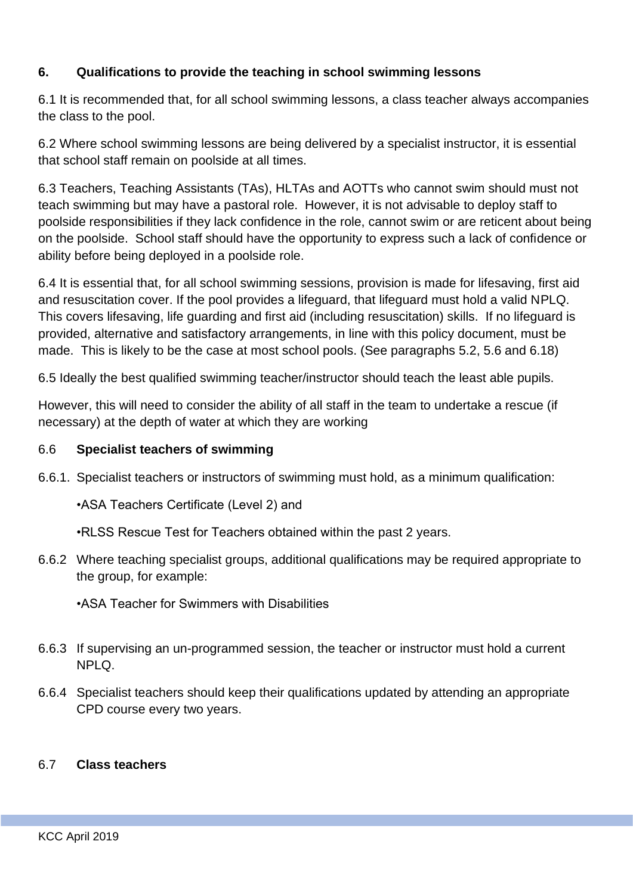## **6. Qualifications to provide the teaching in school swimming lessons**

6.1 It is recommended that, for all school swimming lessons, a class teacher always accompanies the class to the pool.

6.2 Where school swimming lessons are being delivered by a specialist instructor, it is essential that school staff remain on poolside at all times.

6.3 Teachers, Teaching Assistants (TAs), HLTAs and AOTTs who cannot swim should must not teach swimming but may have a pastoral role. However, it is not advisable to deploy staff to poolside responsibilities if they lack confidence in the role, cannot swim or are reticent about being on the poolside. School staff should have the opportunity to express such a lack of confidence or ability before being deployed in a poolside role.

6.4 It is essential that, for all school swimming sessions, provision is made for lifesaving, first aid and resuscitation cover. If the pool provides a lifeguard, that lifeguard must hold a valid NPLQ. This covers lifesaving, life guarding and first aid (including resuscitation) skills. If no lifeguard is provided, alternative and satisfactory arrangements, in line with this policy document, must be made. This is likely to be the case at most school pools. (See paragraphs 5.2, 5.6 and 6.18)

6.5 Ideally the best qualified swimming teacher/instructor should teach the least able pupils.

However, this will need to consider the ability of all staff in the team to undertake a rescue (if necessary) at the depth of water at which they are working

#### 6.6 **Specialist teachers of swimming**

6.6.1. Specialist teachers or instructors of swimming must hold, as a minimum qualification:

•ASA Teachers Certificate (Level 2) and

•RLSS Rescue Test for Teachers obtained within the past 2 years.

6.6.2 Where teaching specialist groups, additional qualifications may be required appropriate to the group, for example:

•ASA Teacher for Swimmers with Disabilities

- 6.6.3 If supervising an un-programmed session, the teacher or instructor must hold a current NPLQ.
- 6.6.4 Specialist teachers should keep their qualifications updated by attending an appropriate CPD course every two years.

#### 6.7 **Class teachers**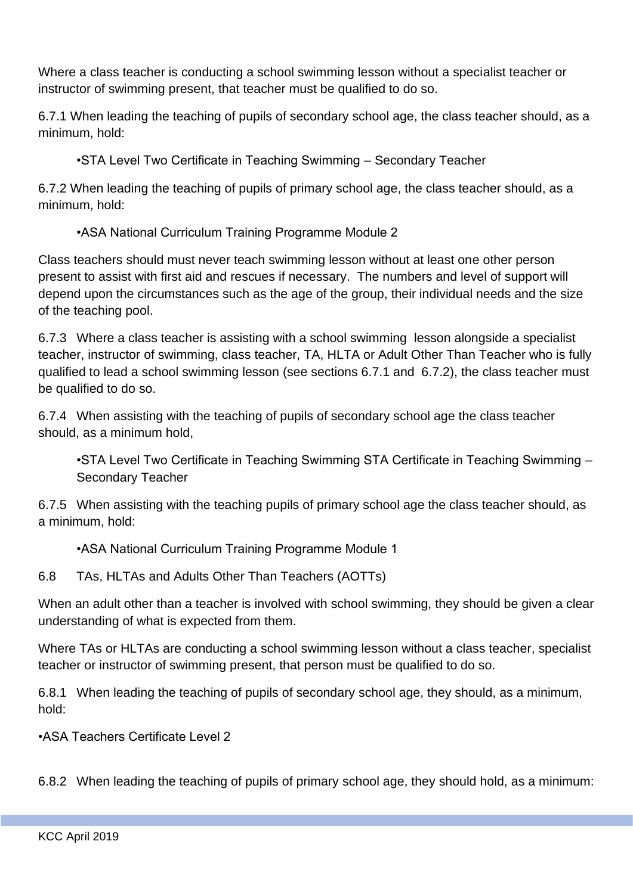Where a class teacher is conducting a school swimming lesson without a specialist teacher or instructor of swimming present, that teacher must be qualified to do so.

6.7.1 When leading the teaching of pupils of secondary school age, the class teacher should, as a minimum, hold:

•STA Level Two Certificate in Teaching Swimming – Secondary Teacher

6.7.2 When leading the teaching of pupils of primary school age, the class teacher should, as a minimum, hold:

•ASA National Curriculum Training Programme Module 2

Class teachers should must never teach swimming lesson without at least one other person present to assist with first aid and rescues if necessary. The numbers and level of support will depend upon the circumstances such as the age of the group, their individual needs and the size of the teaching pool.

6.7.3 Where a class teacher is assisting with a school swimming lesson alongside a specialist teacher, instructor of swimming, class teacher, TA, HLTA or Adult Other Than Teacher who is fully qualified to lead a school swimming lesson (see sections 6.7.1 and 6.7.2), the class teacher must be qualified to do so.

6.7.4 When assisting with the teaching of pupils of secondary school age the class teacher should, as a minimum hold,

•STA Level Two Certificate in Teaching Swimming STA Certificate in Teaching Swimming – Secondary Teacher

6.7.5 When assisting with the teaching pupils of primary school age the class teacher should, as a minimum, hold:

•ASA National Curriculum Training Programme Module 1

6.8 TAs, HLTAs and Adults Other Than Teachers (AOTTs)

When an adult other than a teacher is involved with school swimming, they should be given a clear understanding of what is expected from them.

Where TAs or HLTAs are conducting a school swimming lesson without a class teacher, specialist teacher or instructor of swimming present, that person must be qualified to do so.

6.8.1 When leading the teaching of pupils of secondary school age, they should, as a minimum, hold:

•ASA Teachers Certificate Level 2

6.8.2 When leading the teaching of pupils of primary school age, they should hold, as a minimum: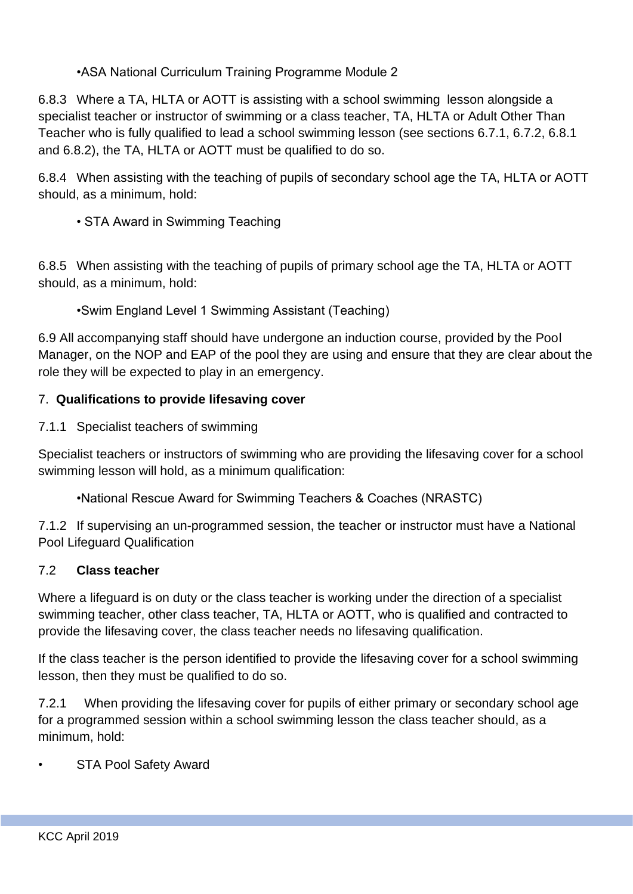•ASA National Curriculum Training Programme Module 2

6.8.3 Where a TA, HLTA or AOTT is assisting with a school swimming lesson alongside a specialist teacher or instructor of swimming or a class teacher, TA, HLTA or Adult Other Than Teacher who is fully qualified to lead a school swimming lesson (see sections 6.7.1, 6.7.2, 6.8.1 and 6.8.2), the TA, HLTA or AOTT must be qualified to do so.

6.8.4 When assisting with the teaching of pupils of secondary school age the TA, HLTA or AOTT should, as a minimum, hold:

• STA Award in Swimming Teaching

6.8.5 When assisting with the teaching of pupils of primary school age the TA, HLTA or AOTT should, as a minimum, hold:

•Swim England Level 1 Swimming Assistant (Teaching)

6.9 All accompanying staff should have undergone an induction course, provided by the Pool Manager, on the NOP and EAP of the pool they are using and ensure that they are clear about the role they will be expected to play in an emergency.

## 7. **Qualifications to provide lifesaving cover**

7.1.1 Specialist teachers of swimming

Specialist teachers or instructors of swimming who are providing the lifesaving cover for a school swimming lesson will hold, as a minimum qualification:

•National Rescue Award for Swimming Teachers & Coaches (NRASTC)

7.1.2 If supervising an un-programmed session, the teacher or instructor must have a National Pool Lifeguard Qualification

#### 7.2 **Class teacher**

Where a lifeguard is on duty or the class teacher is working under the direction of a specialist swimming teacher, other class teacher, TA, HLTA or AOTT, who is qualified and contracted to provide the lifesaving cover, the class teacher needs no lifesaving qualification.

If the class teacher is the person identified to provide the lifesaving cover for a school swimming lesson, then they must be qualified to do so.

7.2.1 When providing the lifesaving cover for pupils of either primary or secondary school age for a programmed session within a school swimming lesson the class teacher should, as a minimum, hold:

**STA Pool Safety Award**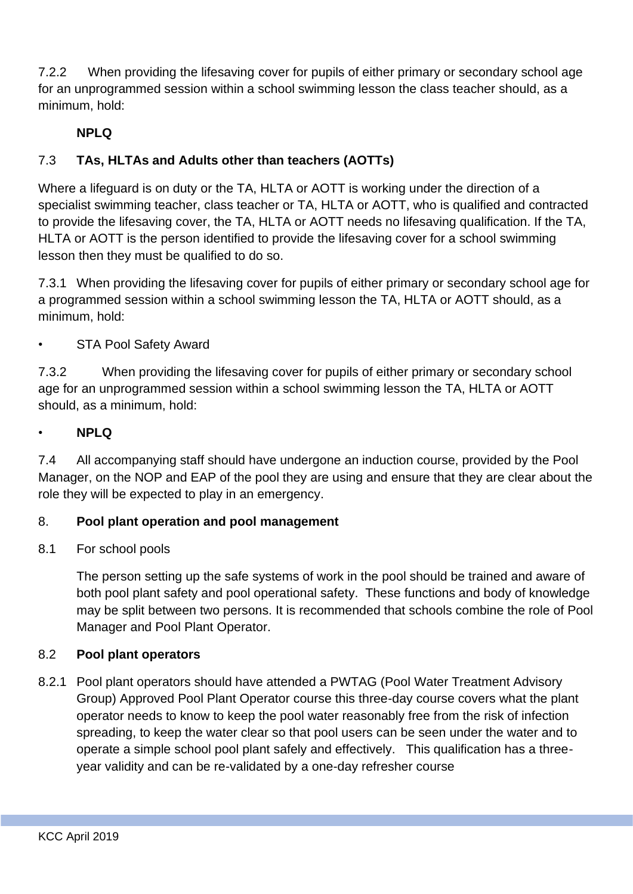7.2.2 When providing the lifesaving cover for pupils of either primary or secondary school age for an unprogrammed session within a school swimming lesson the class teacher should, as a minimum, hold:

## **NPLQ**

# 7.3 **TAs, HLTAs and Adults other than teachers (AOTTs)**

Where a lifeguard is on duty or the TA, HLTA or AOTT is working under the direction of a specialist swimming teacher, class teacher or TA, HLTA or AOTT, who is qualified and contracted to provide the lifesaving cover, the TA, HLTA or AOTT needs no lifesaving qualification. If the TA, HLTA or AOTT is the person identified to provide the lifesaving cover for a school swimming lesson then they must be qualified to do so.

7.3.1 When providing the lifesaving cover for pupils of either primary or secondary school age for a programmed session within a school swimming lesson the TA, HLTA or AOTT should, as a minimum, hold:

## **STA Pool Safety Award**

7.3.2 When providing the lifesaving cover for pupils of either primary or secondary school age for an unprogrammed session within a school swimming lesson the TA, HLTA or AOTT should, as a minimum, hold:

#### • **NPLQ**

7.4 All accompanying staff should have undergone an induction course, provided by the Pool Manager, on the NOP and EAP of the pool they are using and ensure that they are clear about the role they will be expected to play in an emergency.

#### 8. **Pool plant operation and pool management**

#### 8.1 For school pools

The person setting up the safe systems of work in the pool should be trained and aware of both pool plant safety and pool operational safety. These functions and body of knowledge may be split between two persons. It is recommended that schools combine the role of Pool Manager and Pool Plant Operator.

#### 8.2 **Pool plant operators**

8.2.1 Pool plant operators should have attended a PWTAG (Pool Water Treatment Advisory Group) Approved Pool Plant Operator course this three-day course covers what the plant operator needs to know to keep the pool water reasonably free from the risk of infection spreading, to keep the water clear so that pool users can be seen under the water and to operate a simple school pool plant safely and effectively. This qualification has a threeyear validity and can be re-validated by a one-day refresher course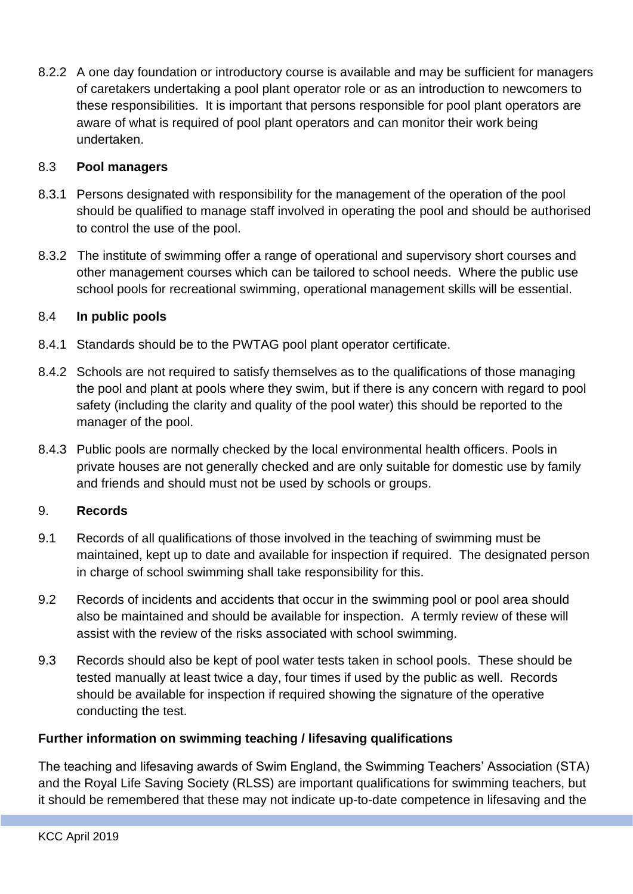8.2.2 A one day foundation or introductory course is available and may be sufficient for managers of caretakers undertaking a pool plant operator role or as an introduction to newcomers to these responsibilities. It is important that persons responsible for pool plant operators are aware of what is required of pool plant operators and can monitor their work being undertaken.

#### 8.3 **Pool managers**

- 8.3.1 Persons designated with responsibility for the management of the operation of the pool should be qualified to manage staff involved in operating the pool and should be authorised to control the use of the pool.
- 8.3.2 The institute of swimming offer a range of operational and supervisory short courses and other management courses which can be tailored to school needs. Where the public use school pools for recreational swimming, operational management skills will be essential.

#### 8.4 **In public pools**

- 8.4.1 Standards should be to the PWTAG pool plant operator certificate.
- 8.4.2 Schools are not required to satisfy themselves as to the qualifications of those managing the pool and plant at pools where they swim, but if there is any concern with regard to pool safety (including the clarity and quality of the pool water) this should be reported to the manager of the pool.
- 8.4.3 Public pools are normally checked by the local environmental health officers. Pools in private houses are not generally checked and are only suitable for domestic use by family and friends and should must not be used by schools or groups.

#### 9. **Records**

- 9.1 Records of all qualifications of those involved in the teaching of swimming must be maintained, kept up to date and available for inspection if required. The designated person in charge of school swimming shall take responsibility for this.
- 9.2 Records of incidents and accidents that occur in the swimming pool or pool area should also be maintained and should be available for inspection. A termly review of these will assist with the review of the risks associated with school swimming.
- 9.3 Records should also be kept of pool water tests taken in school pools. These should be tested manually at least twice a day, four times if used by the public as well. Records should be available for inspection if required showing the signature of the operative conducting the test.

#### **Further information on swimming teaching / lifesaving qualifications**

The teaching and lifesaving awards of Swim England, the Swimming Teachers' Association (STA) and the Royal Life Saving Society (RLSS) are important qualifications for swimming teachers, but it should be remembered that these may not indicate up-to-date competence in lifesaving and the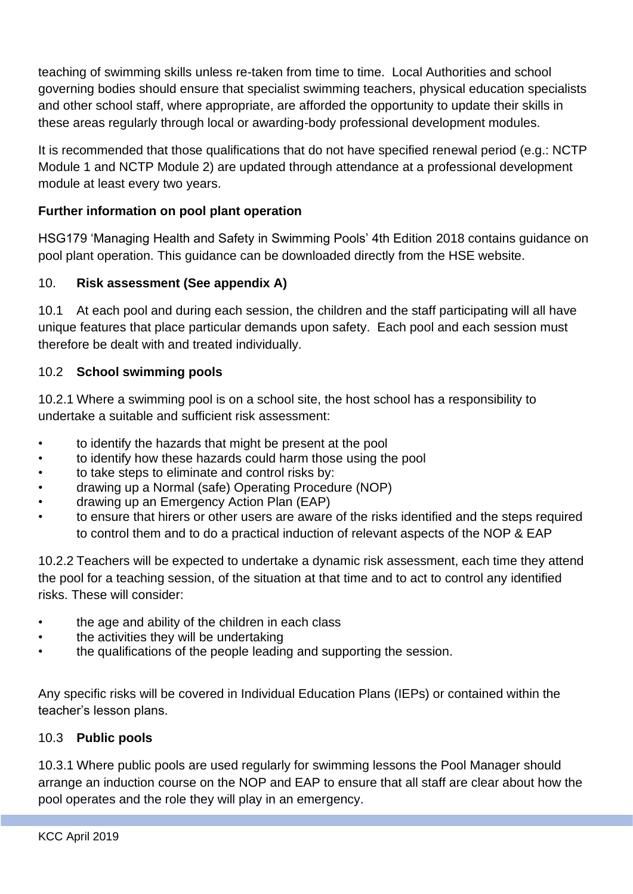teaching of swimming skills unless re-taken from time to time. Local Authorities and school governing bodies should ensure that specialist swimming teachers, physical education specialists and other school staff, where appropriate, are afforded the opportunity to update their skills in these areas regularly through local or awarding-body professional development modules.

It is recommended that those qualifications that do not have specified renewal period (e.g.: NCTP Module 1 and NCTP Module 2) are updated through attendance at a professional development module at least every two years.

## **Further information on pool plant operation**

HSG179 'Managing Health and Safety in Swimming Pools' 4th Edition 2018 contains guidance on pool plant operation. This guidance can be downloaded directly from the HSE website.

## 10. **Risk assessment (See appendix A)**

10.1 At each pool and during each session, the children and the staff participating will all have unique features that place particular demands upon safety. Each pool and each session must therefore be dealt with and treated individually.

#### 10.2 **School swimming pools**

10.2.1 Where a swimming pool is on a school site, the host school has a responsibility to undertake a suitable and sufficient risk assessment:

- to identify the hazards that might be present at the pool
- to identify how these hazards could harm those using the pool
- to take steps to eliminate and control risks by:
- drawing up a Normal (safe) Operating Procedure (NOP)
- drawing up an Emergency Action Plan (EAP)
- to ensure that hirers or other users are aware of the risks identified and the steps required to control them and to do a practical induction of relevant aspects of the NOP & EAP

10.2.2 Teachers will be expected to undertake a dynamic risk assessment, each time they attend the pool for a teaching session, of the situation at that time and to act to control any identified risks. These will consider:

- the age and ability of the children in each class
- the activities they will be undertaking
- the qualifications of the people leading and supporting the session.

Any specific risks will be covered in Individual Education Plans (IEPs) or contained within the teacher's lesson plans.

#### 10.3 **Public pools**

10.3.1 Where public pools are used regularly for swimming lessons the Pool Manager should arrange an induction course on the NOP and EAP to ensure that all staff are clear about how the pool operates and the role they will play in an emergency.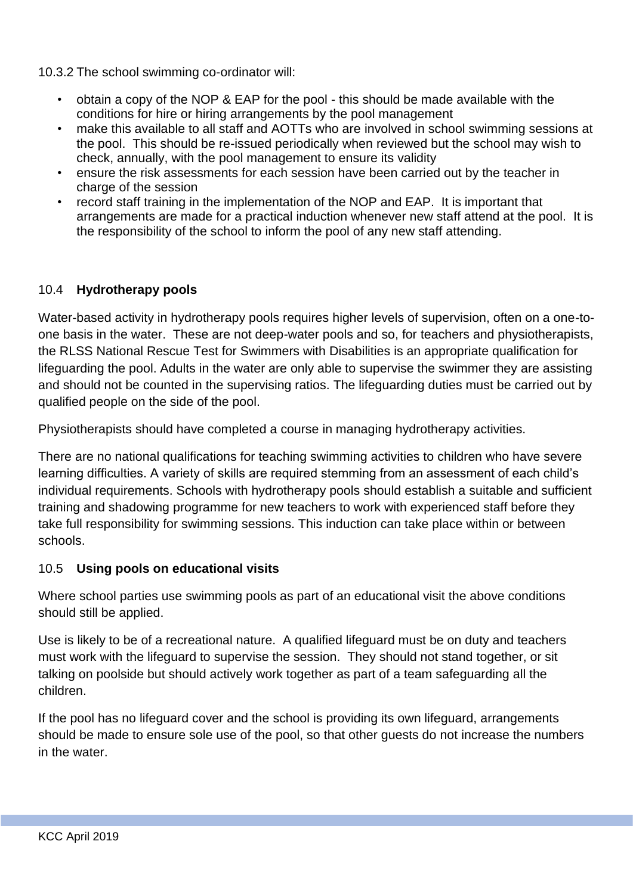10.3.2 The school swimming co-ordinator will:

- obtain a copy of the NOP & EAP for the pool this should be made available with the conditions for hire or hiring arrangements by the pool management
- make this available to all staff and AOTTs who are involved in school swimming sessions at the pool. This should be re-issued periodically when reviewed but the school may wish to check, annually, with the pool management to ensure its validity
- ensure the risk assessments for each session have been carried out by the teacher in charge of the session
- record staff training in the implementation of the NOP and EAP. It is important that arrangements are made for a practical induction whenever new staff attend at the pool. It is the responsibility of the school to inform the pool of any new staff attending.

#### 10.4 **Hydrotherapy pools**

Water-based activity in hydrotherapy pools requires higher levels of supervision, often on a one-toone basis in the water. These are not deep-water pools and so, for teachers and physiotherapists, the RLSS National Rescue Test for Swimmers with Disabilities is an appropriate qualification for lifeguarding the pool. Adults in the water are only able to supervise the swimmer they are assisting and should not be counted in the supervising ratios. The lifeguarding duties must be carried out by qualified people on the side of the pool.

Physiotherapists should have completed a course in managing hydrotherapy activities.

There are no national qualifications for teaching swimming activities to children who have severe learning difficulties. A variety of skills are required stemming from an assessment of each child's individual requirements. Schools with hydrotherapy pools should establish a suitable and sufficient training and shadowing programme for new teachers to work with experienced staff before they take full responsibility for swimming sessions. This induction can take place within or between schools.

#### 10.5 **Using pools on educational visits**

Where school parties use swimming pools as part of an educational visit the above conditions should still be applied.

Use is likely to be of a recreational nature. A qualified lifeguard must be on duty and teachers must work with the lifeguard to supervise the session. They should not stand together, or sit talking on poolside but should actively work together as part of a team safeguarding all the children.

If the pool has no lifeguard cover and the school is providing its own lifeguard, arrangements should be made to ensure sole use of the pool, so that other guests do not increase the numbers in the water.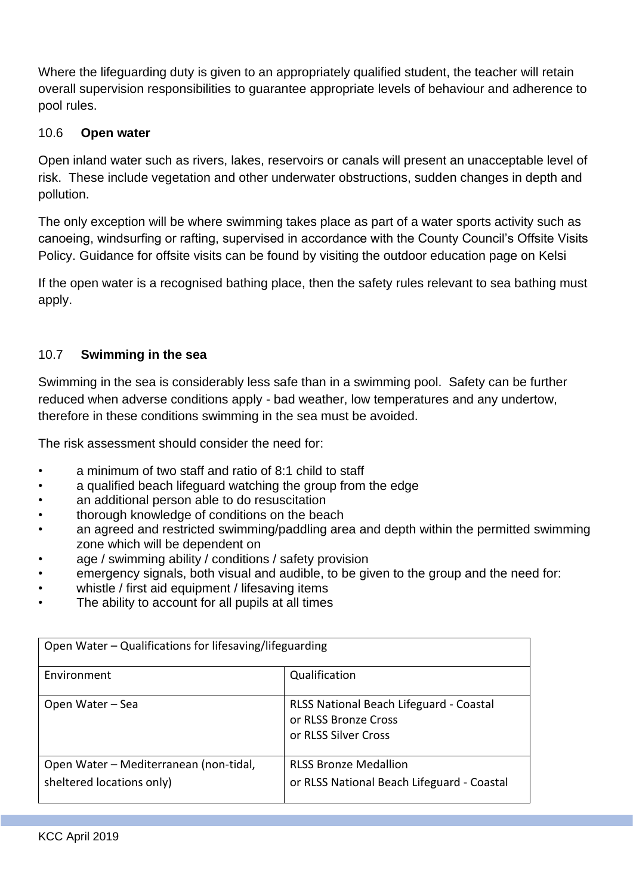Where the lifeguarding duty is given to an appropriately qualified student, the teacher will retain overall supervision responsibilities to guarantee appropriate levels of behaviour and adherence to pool rules.

#### 10.6 **Open water**

Open inland water such as rivers, lakes, reservoirs or canals will present an unacceptable level of risk. These include vegetation and other underwater obstructions, sudden changes in depth and pollution.

The only exception will be where swimming takes place as part of a water sports activity such as canoeing, windsurfing or rafting, supervised in accordance with the County Council's Offsite Visits Policy. Guidance for offsite visits can be found by visiting the outdoor education page on Kelsi

If the open water is a recognised bathing place, then the safety rules relevant to sea bathing must apply.

## 10.7 **Swimming in the sea**

Swimming in the sea is considerably less safe than in a swimming pool. Safety can be further reduced when adverse conditions apply - bad weather, low temperatures and any undertow, therefore in these conditions swimming in the sea must be avoided.

The risk assessment should consider the need for:

- a minimum of two staff and ratio of 8:1 child to staff
- a qualified beach lifeguard watching the group from the edge
- an additional person able to do resuscitation
- thorough knowledge of conditions on the beach
- an agreed and restricted swimming/paddling area and depth within the permitted swimming zone which will be dependent on
- age / swimming ability / conditions / safety provision
- emergency signals, both visual and audible, to be given to the group and the need for:
- whistle / first aid equipment / lifesaving items
- The ability to account for all pupils at all times

| Open Water – Qualifications for lifesaving/lifeguarding             |                                                                                         |  |  |
|---------------------------------------------------------------------|-----------------------------------------------------------------------------------------|--|--|
| Environment                                                         | Qualification                                                                           |  |  |
| Open Water - Sea                                                    | RLSS National Beach Lifeguard - Coastal<br>or RLSS Bronze Cross<br>or RLSS Silver Cross |  |  |
| Open Water - Mediterranean (non-tidal,<br>sheltered locations only) | <b>RLSS Bronze Medallion</b><br>or RLSS National Beach Lifeguard - Coastal              |  |  |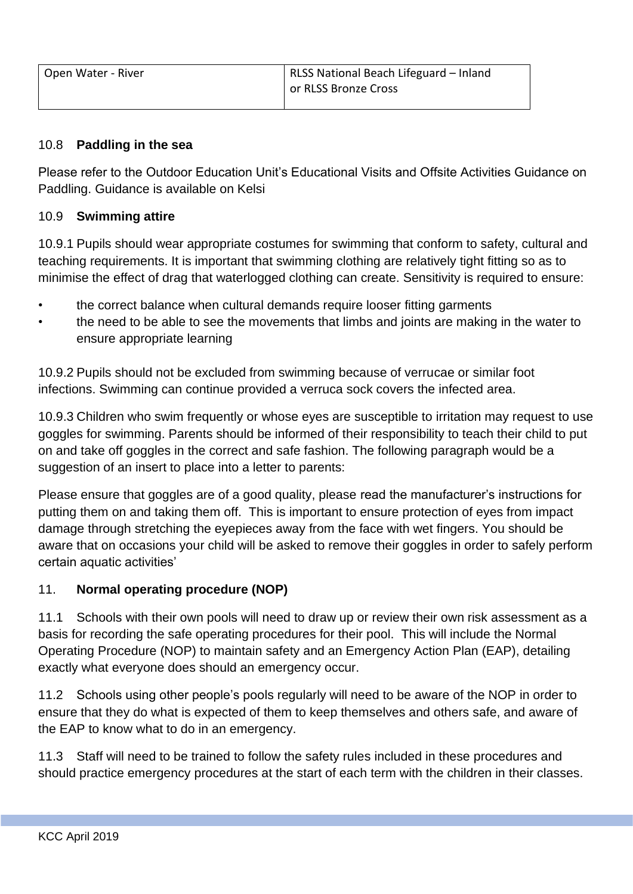#### 10.8 **Paddling in the sea**

Please refer to the Outdoor Education Unit's Educational Visits and Offsite Activities Guidance on Paddling. Guidance is available on Kelsi

#### 10.9 **Swimming attire**

10.9.1 Pupils should wear appropriate costumes for swimming that conform to safety, cultural and teaching requirements. It is important that swimming clothing are relatively tight fitting so as to minimise the effect of drag that waterlogged clothing can create. Sensitivity is required to ensure:

- the correct balance when cultural demands require looser fitting garments
- the need to be able to see the movements that limbs and joints are making in the water to ensure appropriate learning

10.9.2 Pupils should not be excluded from swimming because of verrucae or similar foot infections. Swimming can continue provided a verruca sock covers the infected area.

10.9.3 Children who swim frequently or whose eyes are susceptible to irritation may request to use goggles for swimming. Parents should be informed of their responsibility to teach their child to put on and take off goggles in the correct and safe fashion. The following paragraph would be a suggestion of an insert to place into a letter to parents:

Please ensure that goggles are of a good quality, please read the manufacturer's instructions for putting them on and taking them off. This is important to ensure protection of eyes from impact damage through stretching the eyepieces away from the face with wet fingers. You should be aware that on occasions your child will be asked to remove their goggles in order to safely perform certain aquatic activities'

#### 11. **Normal operating procedure (NOP)**

11.1 Schools with their own pools will need to draw up or review their own risk assessment as a basis for recording the safe operating procedures for their pool. This will include the Normal Operating Procedure (NOP) to maintain safety and an Emergency Action Plan (EAP), detailing exactly what everyone does should an emergency occur.

11.2 Schools using other people's pools regularly will need to be aware of the NOP in order to ensure that they do what is expected of them to keep themselves and others safe, and aware of the EAP to know what to do in an emergency.

11.3 Staff will need to be trained to follow the safety rules included in these procedures and should practice emergency procedures at the start of each term with the children in their classes.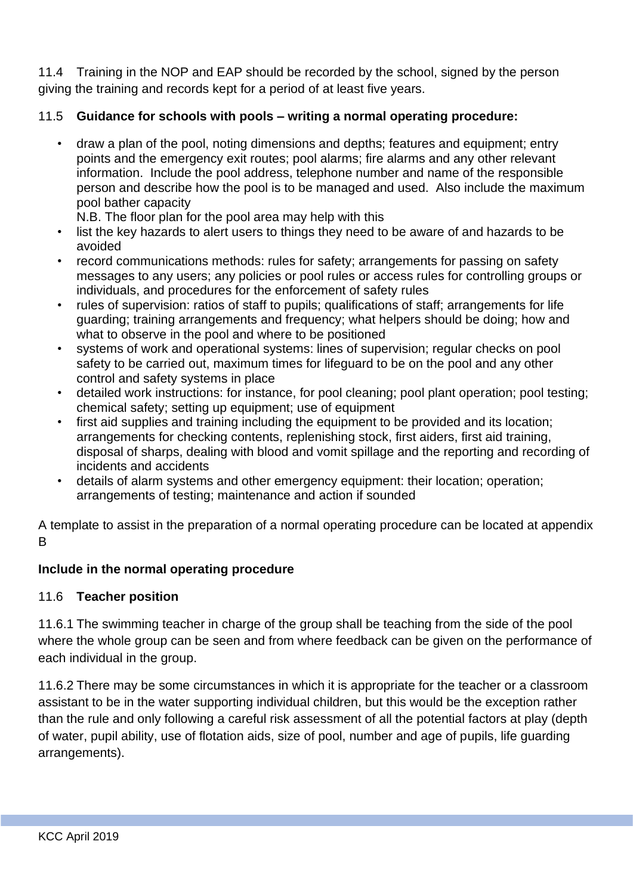11.4 Training in the NOP and EAP should be recorded by the school, signed by the person giving the training and records kept for a period of at least five years.

## 11.5 **Guidance for schools with pools – writing a normal operating procedure:**

• draw a plan of the pool, noting dimensions and depths; features and equipment; entry points and the emergency exit routes; pool alarms; fire alarms and any other relevant information. Include the pool address, telephone number and name of the responsible person and describe how the pool is to be managed and used. Also include the maximum pool bather capacity

N.B. The floor plan for the pool area may help with this

- list the key hazards to alert users to things they need to be aware of and hazards to be avoided
- record communications methods: rules for safety; arrangements for passing on safety messages to any users; any policies or pool rules or access rules for controlling groups or individuals, and procedures for the enforcement of safety rules
- rules of supervision: ratios of staff to pupils; qualifications of staff; arrangements for life guarding; training arrangements and frequency; what helpers should be doing; how and what to observe in the pool and where to be positioned
- systems of work and operational systems: lines of supervision; regular checks on pool safety to be carried out, maximum times for lifeguard to be on the pool and any other control and safety systems in place
- detailed work instructions: for instance, for pool cleaning; pool plant operation; pool testing; chemical safety; setting up equipment; use of equipment
- first aid supplies and training including the equipment to be provided and its location; arrangements for checking contents, replenishing stock, first aiders, first aid training, disposal of sharps, dealing with blood and vomit spillage and the reporting and recording of incidents and accidents
- details of alarm systems and other emergency equipment: their location; operation; arrangements of testing; maintenance and action if sounded

A template to assist in the preparation of a normal operating procedure can be located at appendix B

#### **Include in the normal operating procedure**

#### 11.6 **Teacher position**

11.6.1 The swimming teacher in charge of the group shall be teaching from the side of the pool where the whole group can be seen and from where feedback can be given on the performance of each individual in the group.

11.6.2 There may be some circumstances in which it is appropriate for the teacher or a classroom assistant to be in the water supporting individual children, but this would be the exception rather than the rule and only following a careful risk assessment of all the potential factors at play (depth of water, pupil ability, use of flotation aids, size of pool, number and age of pupils, life guarding arrangements).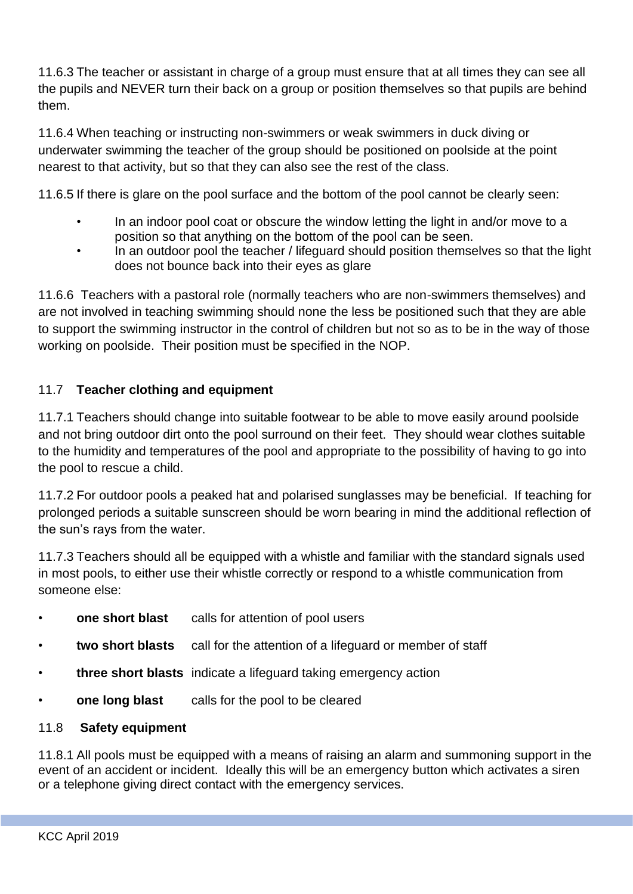11.6.3 The teacher or assistant in charge of a group must ensure that at all times they can see all the pupils and NEVER turn their back on a group or position themselves so that pupils are behind them.

11.6.4 When teaching or instructing non-swimmers or weak swimmers in duck diving or underwater swimming the teacher of the group should be positioned on poolside at the point nearest to that activity, but so that they can also see the rest of the class.

11.6.5 If there is glare on the pool surface and the bottom of the pool cannot be clearly seen:

- In an indoor pool coat or obscure the window letting the light in and/or move to a position so that anything on the bottom of the pool can be seen.
- In an outdoor pool the teacher / lifeguard should position themselves so that the light does not bounce back into their eyes as glare

11.6.6 Teachers with a pastoral role (normally teachers who are non-swimmers themselves) and are not involved in teaching swimming should none the less be positioned such that they are able to support the swimming instructor in the control of children but not so as to be in the way of those working on poolside. Their position must be specified in the NOP.

## 11.7 **Teacher clothing and equipment**

11.7.1 Teachers should change into suitable footwear to be able to move easily around poolside and not bring outdoor dirt onto the pool surround on their feet. They should wear clothes suitable to the humidity and temperatures of the pool and appropriate to the possibility of having to go into the pool to rescue a child.

11.7.2 For outdoor pools a peaked hat and polarised sunglasses may be beneficial. If teaching for prolonged periods a suitable sunscreen should be worn bearing in mind the additional reflection of the sun's rays from the water.

11.7.3 Teachers should all be equipped with a whistle and familiar with the standard signals used in most pools, to either use their whistle correctly or respond to a whistle communication from someone else:

- **one short blast** calls for attention of pool users
- **two short blasts** call for the attention of a lifeguard or member of staff
- **three short blasts** indicate a lifeguard taking emergency action
- **one long blast** calls for the pool to be cleared

#### 11.8 **Safety equipment**

11.8.1 All pools must be equipped with a means of raising an alarm and summoning support in the event of an accident or incident. Ideally this will be an emergency button which activates a siren or a telephone giving direct contact with the emergency services.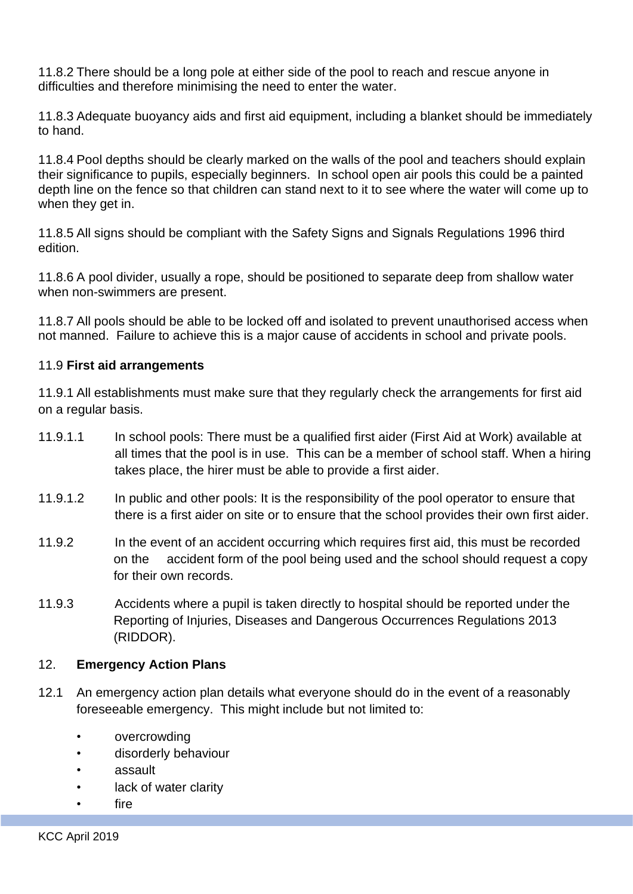11.8.2 There should be a long pole at either side of the pool to reach and rescue anyone in difficulties and therefore minimising the need to enter the water.

11.8.3 Adequate buoyancy aids and first aid equipment, including a blanket should be immediately to hand.

11.8.4 Pool depths should be clearly marked on the walls of the pool and teachers should explain their significance to pupils, especially beginners. In school open air pools this could be a painted depth line on the fence so that children can stand next to it to see where the water will come up to when they get in.

11.8.5 All signs should be compliant with the Safety Signs and Signals Regulations 1996 third edition.

11.8.6 A pool divider, usually a rope, should be positioned to separate deep from shallow water when non-swimmers are present.

11.8.7 All pools should be able to be locked off and isolated to prevent unauthorised access when not manned. Failure to achieve this is a major cause of accidents in school and private pools.

#### 11.9 **First aid arrangements**

11.9.1 All establishments must make sure that they regularly check the arrangements for first aid on a regular basis.

- 11.9.1.1 In school pools: There must be a qualified first aider (First Aid at Work) available at all times that the pool is in use. This can be a member of school staff. When a hiring takes place, the hirer must be able to provide a first aider.
- 11.9.1.2 In public and other pools: It is the responsibility of the pool operator to ensure that there is a first aider on site or to ensure that the school provides their own first aider.
- 11.9.2 In the event of an accident occurring which requires first aid, this must be recorded on the accident form of the pool being used and the school should request a copy for their own records.
- 11.9.3 Accidents where a pupil is taken directly to hospital should be reported under the Reporting of Injuries, Diseases and Dangerous Occurrences Regulations 2013 (RIDDOR).

#### 12. **Emergency Action Plans**

- 12.1 An emergency action plan details what everyone should do in the event of a reasonably foreseeable emergency. This might include but not limited to:
	- overcrowding
	- disorderly behaviour
	- assault
	- lack of water clarity
	- fire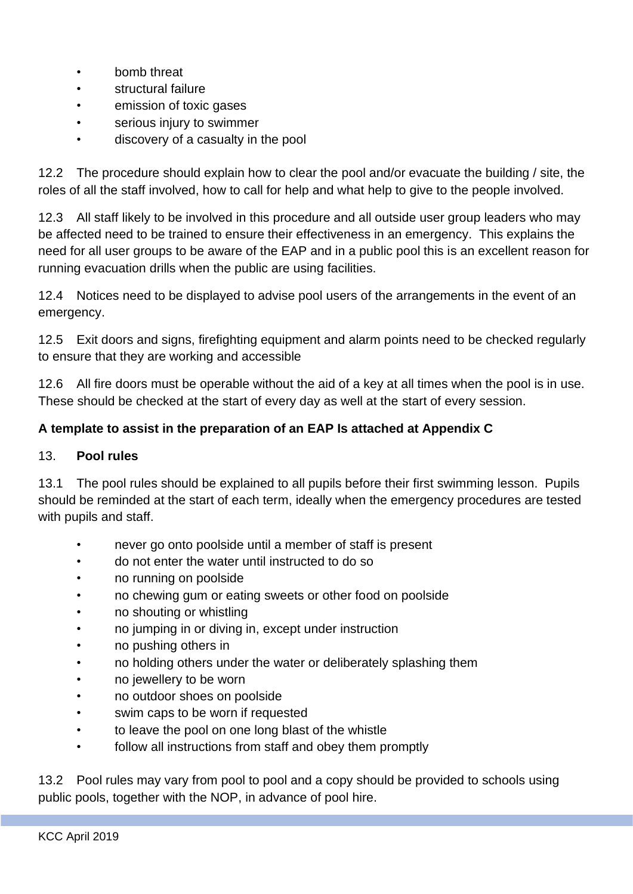- bomb threat
- structural failure
- emission of toxic gases
- serious injury to swimmer
- discovery of a casualty in the pool

12.2 The procedure should explain how to clear the pool and/or evacuate the building / site, the roles of all the staff involved, how to call for help and what help to give to the people involved.

12.3 All staff likely to be involved in this procedure and all outside user group leaders who may be affected need to be trained to ensure their effectiveness in an emergency. This explains the need for all user groups to be aware of the EAP and in a public pool this is an excellent reason for running evacuation drills when the public are using facilities.

12.4 Notices need to be displayed to advise pool users of the arrangements in the event of an emergency.

12.5 Exit doors and signs, firefighting equipment and alarm points need to be checked regularly to ensure that they are working and accessible

12.6 All fire doors must be operable without the aid of a key at all times when the pool is in use. These should be checked at the start of every day as well at the start of every session.

## **A template to assist in the preparation of an EAP Is attached at Appendix C**

#### 13. **Pool rules**

13.1 The pool rules should be explained to all pupils before their first swimming lesson. Pupils should be reminded at the start of each term, ideally when the emergency procedures are tested with pupils and staff.

- never go onto poolside until a member of staff is present
- do not enter the water until instructed to do so
- no running on poolside
- no chewing gum or eating sweets or other food on poolside
- no shouting or whistling
- no jumping in or diving in, except under instruction
- no pushing others in
- no holding others under the water or deliberately splashing them
- no jewellery to be worn
- no outdoor shoes on poolside
- swim caps to be worn if requested
- to leave the pool on one long blast of the whistle
- follow all instructions from staff and obey them promptly

13.2 Pool rules may vary from pool to pool and a copy should be provided to schools using public pools, together with the NOP, in advance of pool hire.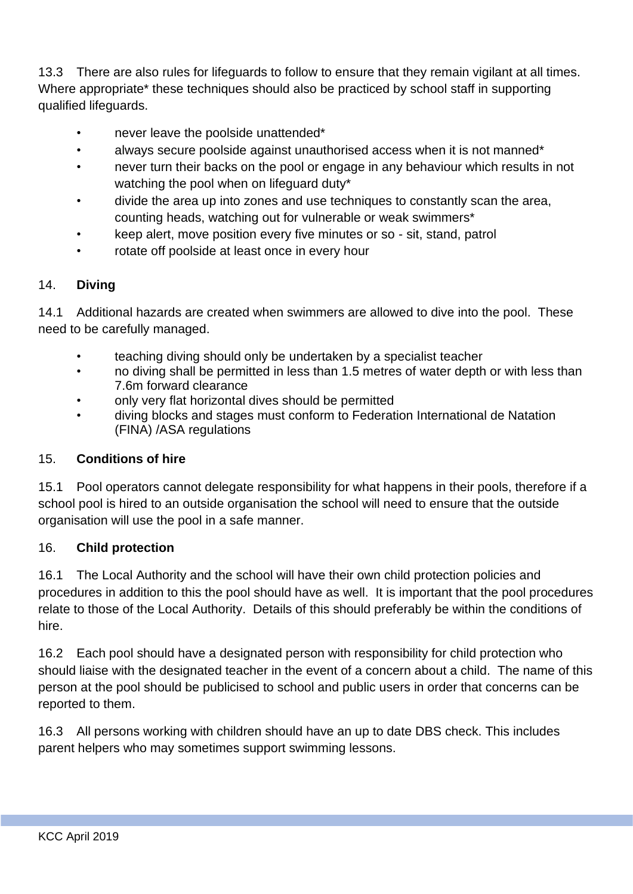13.3 There are also rules for lifeguards to follow to ensure that they remain vigilant at all times. Where appropriate\* these techniques should also be practiced by school staff in supporting qualified lifeguards.

- never leave the poolside unattended\*
- always secure poolside against unauthorised access when it is not manned\*
- never turn their backs on the pool or engage in any behaviour which results in not watching the pool when on lifeguard duty\*
- divide the area up into zones and use techniques to constantly scan the area, counting heads, watching out for vulnerable or weak swimmers\*
- keep alert, move position every five minutes or so sit, stand, patrol
- rotate off poolside at least once in every hour

#### 14. **Diving**

14.1 Additional hazards are created when swimmers are allowed to dive into the pool. These need to be carefully managed.

- teaching diving should only be undertaken by a specialist teacher
- no diving shall be permitted in less than 1.5 metres of water depth or with less than 7.6m forward clearance
- only very flat horizontal dives should be permitted
- diving blocks and stages must conform to Federation International de Natation (FINA) /ASA regulations

#### 15. **Conditions of hire**

15.1 Pool operators cannot delegate responsibility for what happens in their pools, therefore if a school pool is hired to an outside organisation the school will need to ensure that the outside organisation will use the pool in a safe manner.

#### 16. **Child protection**

16.1 The Local Authority and the school will have their own child protection policies and procedures in addition to this the pool should have as well. It is important that the pool procedures relate to those of the Local Authority. Details of this should preferably be within the conditions of hire.

16.2 Each pool should have a designated person with responsibility for child protection who should liaise with the designated teacher in the event of a concern about a child. The name of this person at the pool should be publicised to school and public users in order that concerns can be reported to them.

16.3 All persons working with children should have an up to date DBS check. This includes parent helpers who may sometimes support swimming lessons.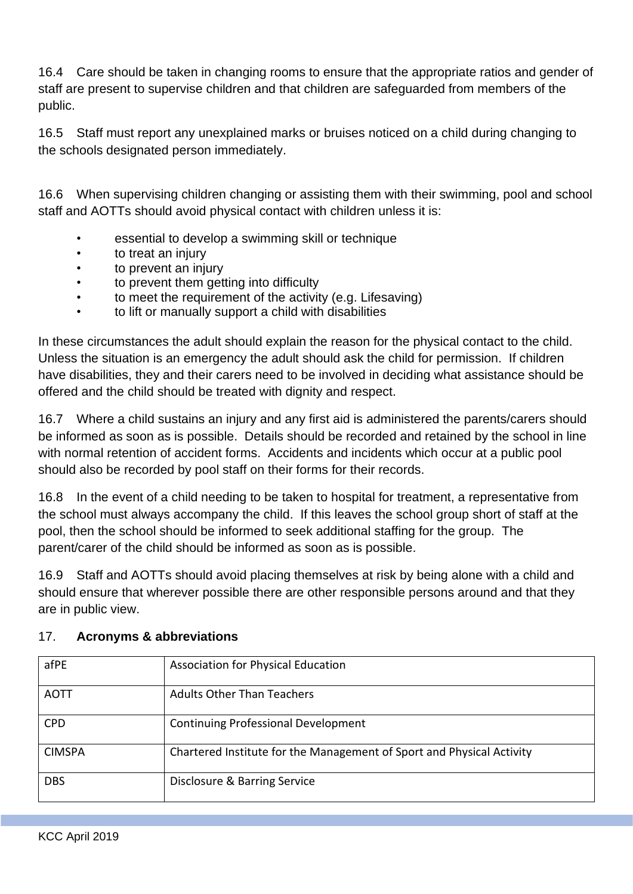16.4 Care should be taken in changing rooms to ensure that the appropriate ratios and gender of staff are present to supervise children and that children are safeguarded from members of the public.

16.5 Staff must report any unexplained marks or bruises noticed on a child during changing to the schools designated person immediately.

16.6 When supervising children changing or assisting them with their swimming, pool and school staff and AOTTs should avoid physical contact with children unless it is:

- essential to develop a swimming skill or technique
- to treat an injury
- to prevent an injury
- to prevent them getting into difficulty
- to meet the requirement of the activity (e.g. Lifesaving)
- to lift or manually support a child with disabilities

In these circumstances the adult should explain the reason for the physical contact to the child. Unless the situation is an emergency the adult should ask the child for permission. If children have disabilities, they and their carers need to be involved in deciding what assistance should be offered and the child should be treated with dignity and respect.

16.7 Where a child sustains an injury and any first aid is administered the parents/carers should be informed as soon as is possible. Details should be recorded and retained by the school in line with normal retention of accident forms. Accidents and incidents which occur at a public pool should also be recorded by pool staff on their forms for their records.

16.8 In the event of a child needing to be taken to hospital for treatment, a representative from the school must always accompany the child. If this leaves the school group short of staff at the pool, then the school should be informed to seek additional staffing for the group. The parent/carer of the child should be informed as soon as is possible.

16.9 Staff and AOTTs should avoid placing themselves at risk by being alone with a child and should ensure that wherever possible there are other responsible persons around and that they are in public view.

| afPE          | <b>Association for Physical Education</b>                             |
|---------------|-----------------------------------------------------------------------|
| <b>AOTT</b>   | <b>Adults Other Than Teachers</b>                                     |
| <b>CPD</b>    | <b>Continuing Professional Development</b>                            |
| <b>CIMSPA</b> | Chartered Institute for the Management of Sport and Physical Activity |
| <b>DBS</b>    | Disclosure & Barring Service                                          |

#### 17. **Acronyms & abbreviations**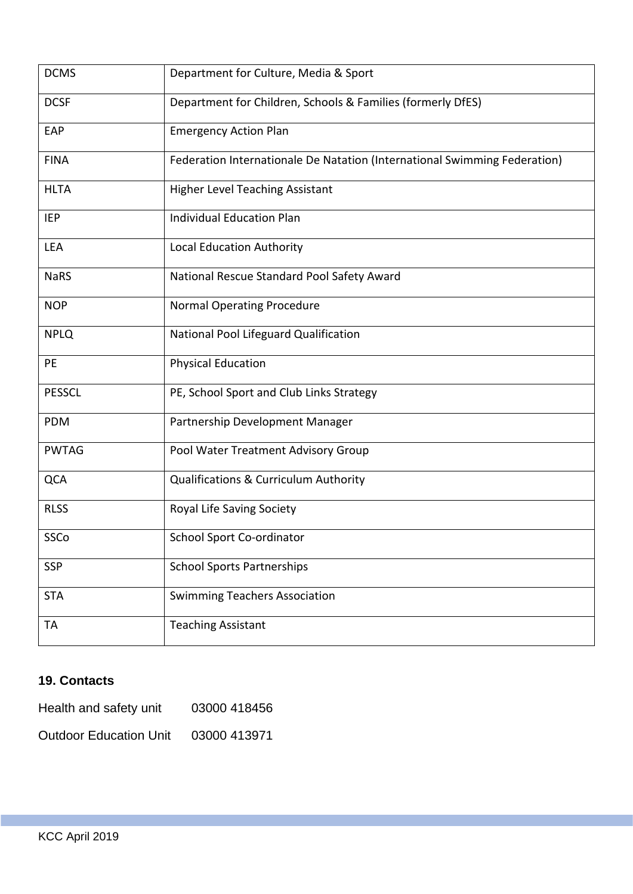| <b>DCMS</b>   | Department for Culture, Media & Sport                                     |
|---------------|---------------------------------------------------------------------------|
| <b>DCSF</b>   | Department for Children, Schools & Families (formerly DfES)               |
| EAP           | <b>Emergency Action Plan</b>                                              |
| <b>FINA</b>   | Federation Internationale De Natation (International Swimming Federation) |
| <b>HLTA</b>   | <b>Higher Level Teaching Assistant</b>                                    |
| IEP           | <b>Individual Education Plan</b>                                          |
| LEA           | Local Education Authority                                                 |
| <b>NaRS</b>   | National Rescue Standard Pool Safety Award                                |
| <b>NOP</b>    | <b>Normal Operating Procedure</b>                                         |
| <b>NPLQ</b>   | National Pool Lifeguard Qualification                                     |
| PE            | <b>Physical Education</b>                                                 |
| <b>PESSCL</b> | PE, School Sport and Club Links Strategy                                  |
| PDM           | Partnership Development Manager                                           |
| <b>PWTAG</b>  | Pool Water Treatment Advisory Group                                       |
| QCA           | Qualifications & Curriculum Authority                                     |
| <b>RLSS</b>   | Royal Life Saving Society                                                 |
| SSCo          | School Sport Co-ordinator                                                 |
| <b>SSP</b>    | <b>School Sports Partnerships</b>                                         |
| <b>STA</b>    | <b>Swimming Teachers Association</b>                                      |
| TА            | <b>Teaching Assistant</b>                                                 |

# **19. Contacts**

| Health and safety unit        | 03000 418456 |
|-------------------------------|--------------|
| <b>Outdoor Education Unit</b> | 03000 413971 |